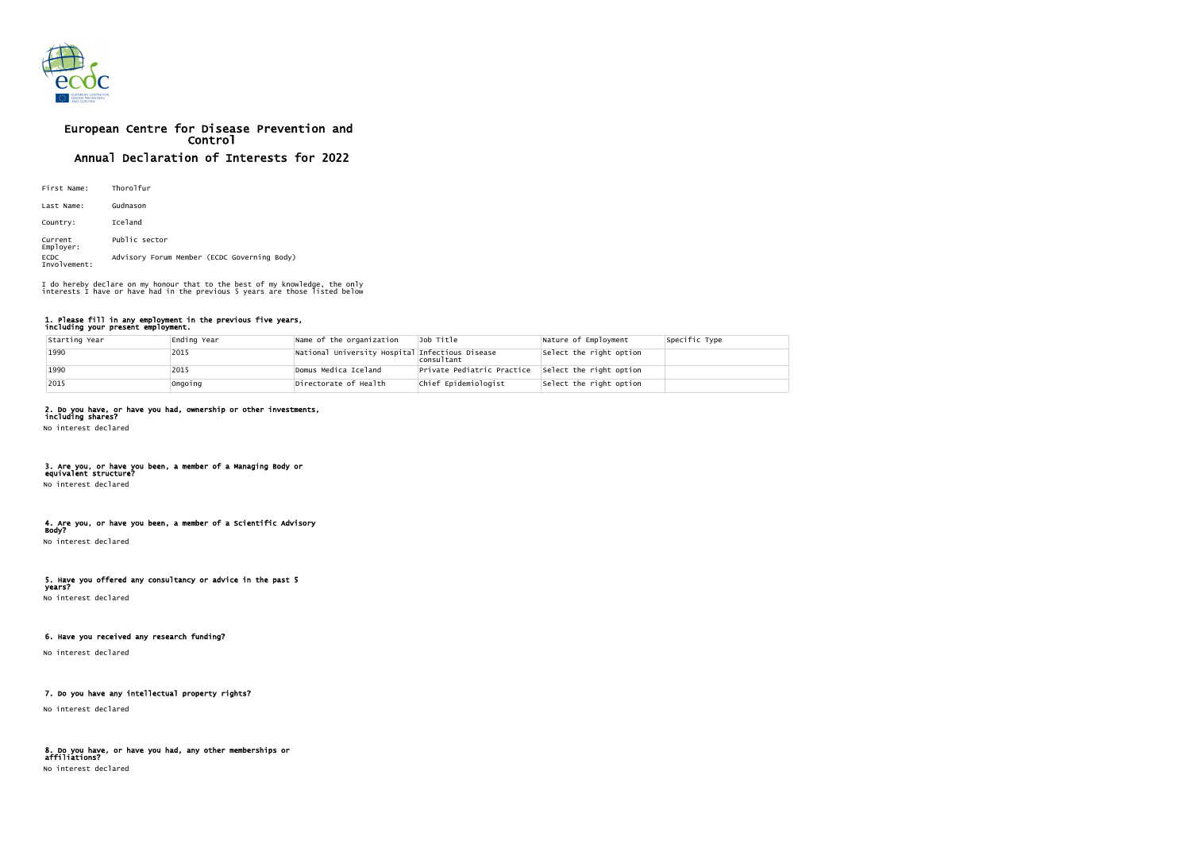

# European Centre for Disease Prevention and Control Annual Declaration of Interests for 2022

| First Name:                 | Thorolfur                                   |
|-----------------------------|---------------------------------------------|
| Last Name:                  | Gudnason                                    |
| Country:                    | Iceland                                     |
| Current<br>Employer:        | Public sector                               |
| <b>ECDC</b><br>Involvement: | Advisory Forum Member (ECDC Governing Body) |

#### 1. Please fill in any employment in the previous five years, including your present employment.

| Starting Year | Ending Year | Name of the organization                        | Job Title                  | Nature of Employment    | Specific Type |
|---------------|-------------|-------------------------------------------------|----------------------------|-------------------------|---------------|
| 1990          | 2015        | National University Hospital Infectious Disease | consultant                 | Select the right option |               |
| $1990$        | 2015        | Domus Medica Iceland                            | Private Pediatric Practice | Select the right option |               |
| $ 2015$       | Ongoing     | Directorate of Health                           | Chief Epidemiologist       | Select the right option |               |

# 2. Do you have, or have you had, ownership or other investments,

including shares? No interest declared

### 3. Are you, or have you been, a member of a Managing Body or equivalent structure?

No interest declared

# 4. Are you, or have you been, a member of a Scientific Advisory

Body? No interest declared

# 5. Have you offered any consultancy or advice in the past 5

years? No interest declared

## 6. Have you received any research funding?

No interest declared

## 7. Do you have any intellectual property rights?

No interest declared

## 8. Do you have, or have you had, any other memberships or affiliations?

No interest declared

I do hereby declare on my honour that to the best of my knowledge, the only interests I have or have had in the previous 5 years are those listed below